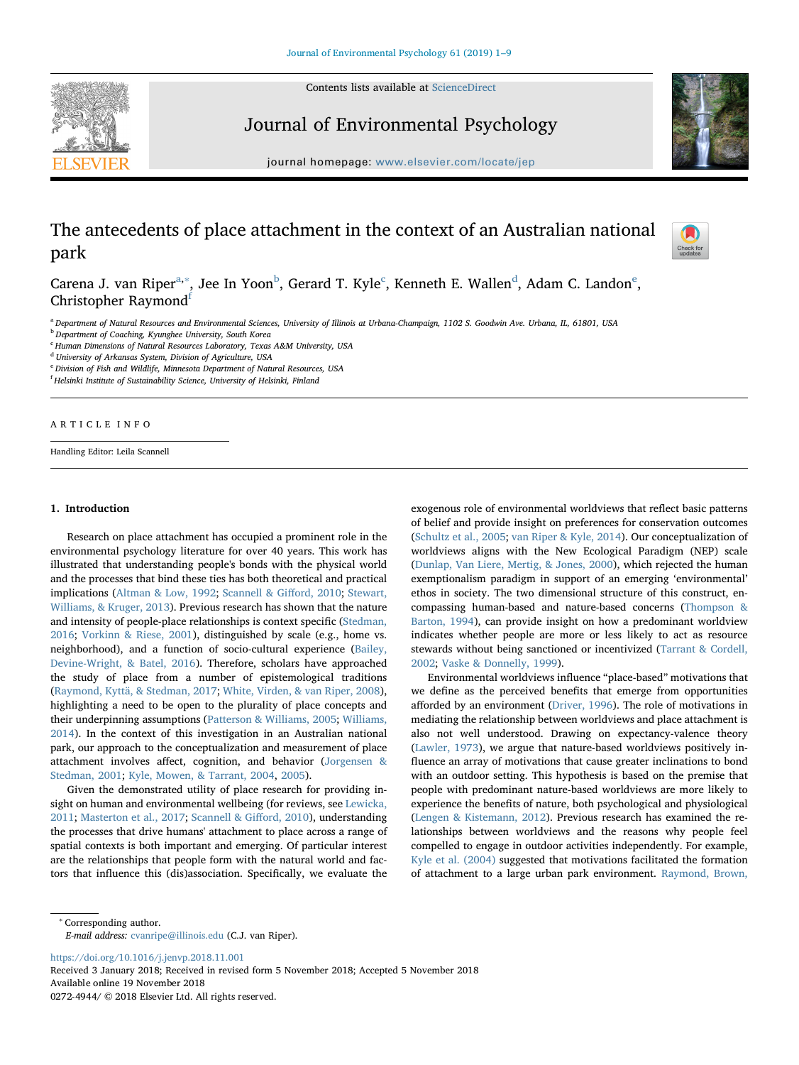Contents lists available at [ScienceDirect](http://www.sciencedirect.com/science/journal/02724944)





Journal of Environmental Psychology

journal homepage: [www.elsevier.com/locate/jep](https://www.elsevier.com/locate/jep)

# The antecedents of place attachment in the context of an Australian national park



C[a](#page-0-0)rena J. van Riper<sup>a,[∗](#page-0-1)</sup>, Jee In Yoon<sup>[b](#page-0-2)</sup>, Gerard T. Kyle<sup>[c](#page-0-3)</sup>, Kenneth E. Wallen<sup>[d](#page-0-4)</sup>, Adam C. Landon<sup>[e](#page-0-5)</sup>, Christopher Raymond<sup>[f](#page-0-6)</sup>

<span id="page-0-0"></span><sup>a</sup> Department of Natural Resources and Environmental Sciences, University of Illinois at Urbana-Champaign, 1102 S. Goodwin Ave. Urbana, IL, 61801, USA

<span id="page-0-2"></span>**b** Department of Coaching, Kyunghee University, South Korea

<span id="page-0-3"></span><sup>c</sup> Human Dimensions of Natural Resources Laboratory, Texas A&M University, USA

<span id="page-0-4"></span><sup>d</sup> University of Arkansas System, Division of Agriculture, USA

<span id="page-0-5"></span><sup>e</sup> Division of Fish and Wildlife, Minnesota Department of Natural Resources, USA

<span id="page-0-6"></span><sup>f</sup> Helsinki Institute of Sustainability Science, University of Helsinki, Finland

ARTICLE INFO

Handling Editor: Leila Scannell

# 1. Introduction

Research on place attachment has occupied a prominent role in the environmental psychology literature for over 40 years. This work has illustrated that understanding people's bonds with the physical world and the processes that bind these ties has both theoretical and practical implications ([Altman & Low, 1992](#page-7-0); [Scannell & Gi](#page-8-0)fford, 2010; [Stewart,](#page-8-1) [Williams, & Kruger, 2013\)](#page-8-1). Previous research has shown that the nature and intensity of people-place relationships is context specific ([Stedman,](#page-8-2) [2016;](#page-8-2) [Vorkinn & Riese, 2001\)](#page-8-3), distinguished by scale (e.g., home vs. neighborhood), and a function of socio-cultural experience ([Bailey,](#page-7-1) [Devine-Wright, & Batel, 2016\)](#page-7-1). Therefore, scholars have approached the study of place from a number of epistemological traditions ([Raymond, Kyttä, & Stedman, 2017](#page-8-4); [White, Virden, & van Riper, 2008](#page-8-5)), highlighting a need to be open to the plurality of place concepts and their underpinning assumptions ([Patterson & Williams, 2005](#page-8-6); [Williams,](#page-8-7) [2014\)](#page-8-7). In the context of this investigation in an Australian national park, our approach to the conceptualization and measurement of place attachment involves affect, cognition, and behavior [\(Jorgensen &](#page-7-2) [Stedman, 2001](#page-7-2); [Kyle, Mowen, & Tarrant, 2004,](#page-8-8) [2005\)](#page-8-9).

Given the demonstrated utility of place research for providing insight on human and environmental wellbeing (for reviews, see [Lewicka,](#page-8-10) [2011;](#page-8-10) [Masterton et al., 2017](#page-8-11); [Scannell & Gi](#page-8-0)fford, 2010), understanding the processes that drive humans' attachment to place across a range of spatial contexts is both important and emerging. Of particular interest are the relationships that people form with the natural world and factors that influence this (dis)association. Specifically, we evaluate the exogenous role of environmental worldviews that reflect basic patterns of belief and provide insight on preferences for conservation outcomes ([Schultz et al., 2005](#page-8-12); [van Riper & Kyle, 2014](#page-8-13)). Our conceptualization of worldviews aligns with the New Ecological Paradigm (NEP) scale ([Dunlap, Van Liere, Mertig, & Jones, 2000](#page-7-3)), which rejected the human exemptionalism paradigm in support of an emerging 'environmental' ethos in society. The two dimensional structure of this construct, encompassing human-based and nature-based concerns [\(Thompson &](#page-8-14) [Barton, 1994](#page-8-14)), can provide insight on how a predominant worldview indicates whether people are more or less likely to act as resource stewards without being sanctioned or incentivized [\(Tarrant & Cordell,](#page-8-15) [2002;](#page-8-15) [Vaske & Donnelly, 1999\)](#page-8-16).

Environmental worldviews influence "place-based" motivations that we define as the perceived benefits that emerge from opportunities afforded by an environment ([Driver, 1996\)](#page-7-4). The role of motivations in mediating the relationship between worldviews and place attachment is also not well understood. Drawing on expectancy-valence theory ([Lawler, 1973\)](#page-8-17), we argue that nature-based worldviews positively influence an array of motivations that cause greater inclinations to bond with an outdoor setting. This hypothesis is based on the premise that people with predominant nature-based worldviews are more likely to experience the benefits of nature, both psychological and physiological ([Lengen & Kistemann, 2012](#page-8-18)). Previous research has examined the relationships between worldviews and the reasons why people feel compelled to engage in outdoor activities independently. For example, [Kyle et al. \(2004\)](#page-8-8) suggested that motivations facilitated the formation of attachment to a large urban park environment. [Raymond, Brown,](#page-8-19)

<span id="page-0-1"></span><sup>∗</sup> Corresponding author.

<https://doi.org/10.1016/j.jenvp.2018.11.001>

Received 3 January 2018; Received in revised form 5 November 2018; Accepted 5 November 2018 Available online 19 November 2018 0272-4944/ © 2018 Elsevier Ltd. All rights reserved.

E-mail address: [cvanripe@illinois.edu](mailto:cvanripe@illinois.edu) (C.J. van Riper).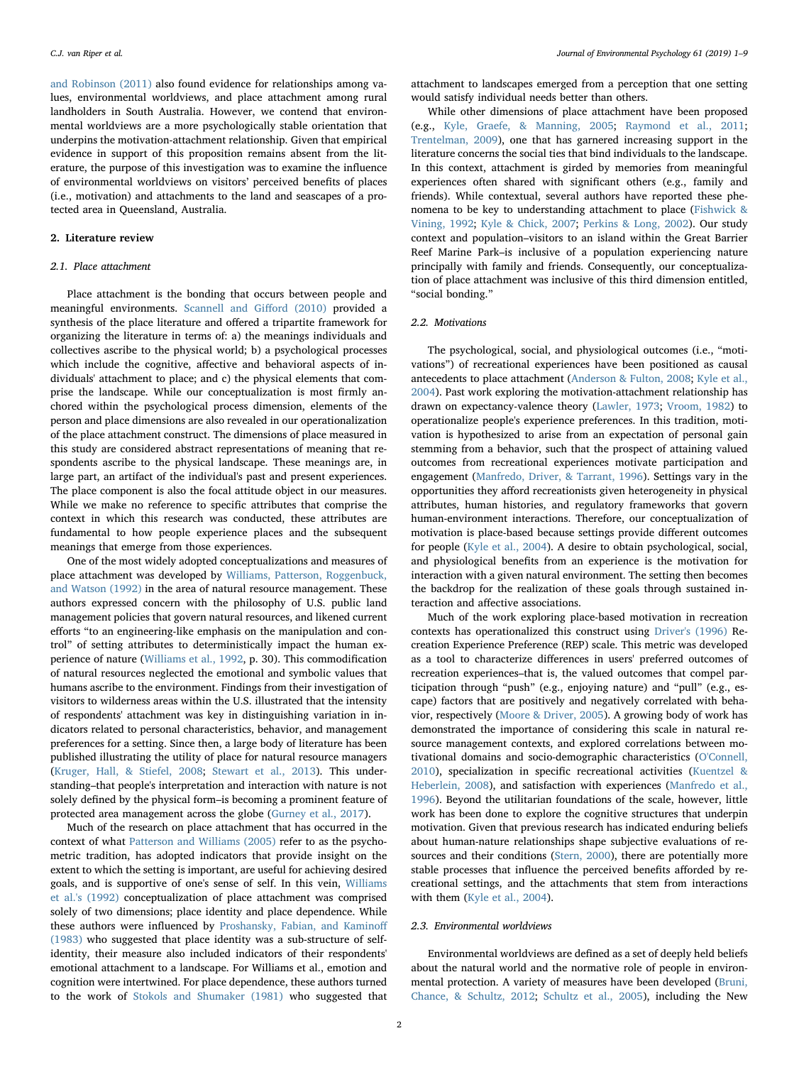[and Robinson \(2011\)](#page-8-19) also found evidence for relationships among values, environmental worldviews, and place attachment among rural landholders in South Australia. However, we contend that environmental worldviews are a more psychologically stable orientation that underpins the motivation-attachment relationship. Given that empirical evidence in support of this proposition remains absent from the literature, the purpose of this investigation was to examine the influence of environmental worldviews on visitors' perceived benefits of places (i.e., motivation) and attachments to the land and seascapes of a protected area in Queensland, Australia.

## 2. Literature review

## 2.1. Place attachment

Place attachment is the bonding that occurs between people and meaningful environments. [Scannell and Gi](#page-8-0)fford (2010) provided a synthesis of the place literature and offered a tripartite framework for organizing the literature in terms of: a) the meanings individuals and collectives ascribe to the physical world; b) a psychological processes which include the cognitive, affective and behavioral aspects of individuals' attachment to place; and c) the physical elements that comprise the landscape. While our conceptualization is most firmly anchored within the psychological process dimension, elements of the person and place dimensions are also revealed in our operationalization of the place attachment construct. The dimensions of place measured in this study are considered abstract representations of meaning that respondents ascribe to the physical landscape. These meanings are, in large part, an artifact of the individual's past and present experiences. The place component is also the focal attitude object in our measures. While we make no reference to specific attributes that comprise the context in which this research was conducted, these attributes are fundamental to how people experience places and the subsequent meanings that emerge from those experiences.

One of the most widely adopted conceptualizations and measures of place attachment was developed by [Williams, Patterson, Roggenbuck,](#page-8-20) [and Watson \(1992\)](#page-8-20) in the area of natural resource management. These authors expressed concern with the philosophy of U.S. public land management policies that govern natural resources, and likened current efforts "to an engineering-like emphasis on the manipulation and control" of setting attributes to deterministically impact the human experience of nature ([Williams et al., 1992](#page-8-20), p. 30). This commodification of natural resources neglected the emotional and symbolic values that humans ascribe to the environment. Findings from their investigation of visitors to wilderness areas within the U.S. illustrated that the intensity of respondents' attachment was key in distinguishing variation in indicators related to personal characteristics, behavior, and management preferences for a setting. Since then, a large body of literature has been published illustrating the utility of place for natural resource managers ([Kruger, Hall, & Stiefel, 2008](#page-7-5); [Stewart et al., 2013\)](#page-8-1). This understanding–that people's interpretation and interaction with nature is not solely defined by the physical form–is becoming a prominent feature of protected area management across the globe [\(Gurney et al., 2017\)](#page-7-6).

Much of the research on place attachment that has occurred in the context of what [Patterson and Williams \(2005\)](#page-8-6) refer to as the psychometric tradition, has adopted indicators that provide insight on the extent to which the setting is important, are useful for achieving desired goals, and is supportive of one's sense of self. In this vein, [Williams](#page-8-20) [et al.'s \(1992\)](#page-8-20) conceptualization of place attachment was comprised solely of two dimensions; place identity and place dependence. While these authors were influenced by [Proshansky, Fabian, and Kamino](#page-8-21)ff [\(1983\)](#page-8-21) who suggested that place identity was a sub-structure of selfidentity, their measure also included indicators of their respondents' emotional attachment to a landscape. For Williams et al., emotion and cognition were intertwined. For place dependence, these authors turned to the work of [Stokols and Shumaker \(1981\)](#page-8-22) who suggested that

attachment to landscapes emerged from a perception that one setting would satisfy individual needs better than others.

While other dimensions of place attachment have been proposed (e.g., [Kyle, Graefe, & Manning, 2005;](#page-8-9) [Raymond et al., 2011](#page-8-19); [Trentelman, 2009](#page-8-23)), one that has garnered increasing support in the literature concerns the social ties that bind individuals to the landscape. In this context, attachment is girded by memories from meaningful experiences often shared with significant others (e.g., family and friends). While contextual, several authors have reported these phenomena to be key to understanding attachment to place ([Fishwick &](#page-7-7) [Vining, 1992](#page-7-7); [Kyle & Chick, 2007;](#page-8-24) [Perkins & Long, 2002](#page-8-25)). Our study context and population–visitors to an island within the Great Barrier Reef Marine Park–is inclusive of a population experiencing nature principally with family and friends. Consequently, our conceptualization of place attachment was inclusive of this third dimension entitled, "social bonding."

# 2.2. Motivations

The psychological, social, and physiological outcomes (i.e., "motivations") of recreational experiences have been positioned as causal antecedents to place attachment [\(Anderson & Fulton, 2008](#page-7-8); [Kyle et al.,](#page-8-8) [2004\)](#page-8-8). Past work exploring the motivation-attachment relationship has drawn on expectancy-valence theory ([Lawler, 1973;](#page-8-17) [Vroom, 1982](#page-8-26)) to operationalize people's experience preferences. In this tradition, motivation is hypothesized to arise from an expectation of personal gain stemming from a behavior, such that the prospect of attaining valued outcomes from recreational experiences motivate participation and engagement [\(Manfredo, Driver, & Tarrant, 1996](#page-8-27)). Settings vary in the opportunities they afford recreationists given heterogeneity in physical attributes, human histories, and regulatory frameworks that govern human-environment interactions. Therefore, our conceptualization of motivation is place-based because settings provide different outcomes for people ([Kyle et al., 2004\)](#page-8-8). A desire to obtain psychological, social, and physiological benefits from an experience is the motivation for interaction with a given natural environment. The setting then becomes the backdrop for the realization of these goals through sustained interaction and affective associations.

Much of the work exploring place-based motivation in recreation contexts has operationalized this construct using [Driver's \(1996\)](#page-7-4) Recreation Experience Preference (REP) scale. This metric was developed as a tool to characterize differences in users' preferred outcomes of recreation experiences–that is, the valued outcomes that compel participation through "push" (e.g., enjoying nature) and "pull" (e.g., escape) factors that are positively and negatively correlated with behavior, respectively ([Moore & Driver, 2005](#page-8-28)). A growing body of work has demonstrated the importance of considering this scale in natural resource management contexts, and explored correlations between motivational domains and socio-demographic characteristics [\(O'Connell,](#page-8-29) [2010\)](#page-8-29), specialization in specific recreational activities ([Kuentzel &](#page-7-9) [Heberlein, 2008\)](#page-7-9), and satisfaction with experiences [\(Manfredo et al.,](#page-8-27) [1996\)](#page-8-27). Beyond the utilitarian foundations of the scale, however, little work has been done to explore the cognitive structures that underpin motivation. Given that previous research has indicated enduring beliefs about human-nature relationships shape subjective evaluations of resources and their conditions ([Stern, 2000](#page-8-30)), there are potentially more stable processes that influence the perceived benefits afforded by recreational settings, and the attachments that stem from interactions with them ([Kyle et al., 2004\)](#page-8-8).

#### 2.3. Environmental worldviews

Environmental worldviews are defined as a set of deeply held beliefs about the natural world and the normative role of people in environ-mental protection. A variety of measures have been developed [\(Bruni,](#page-7-10) [Chance, & Schultz, 2012;](#page-7-10) [Schultz et al., 2005](#page-8-12)), including the New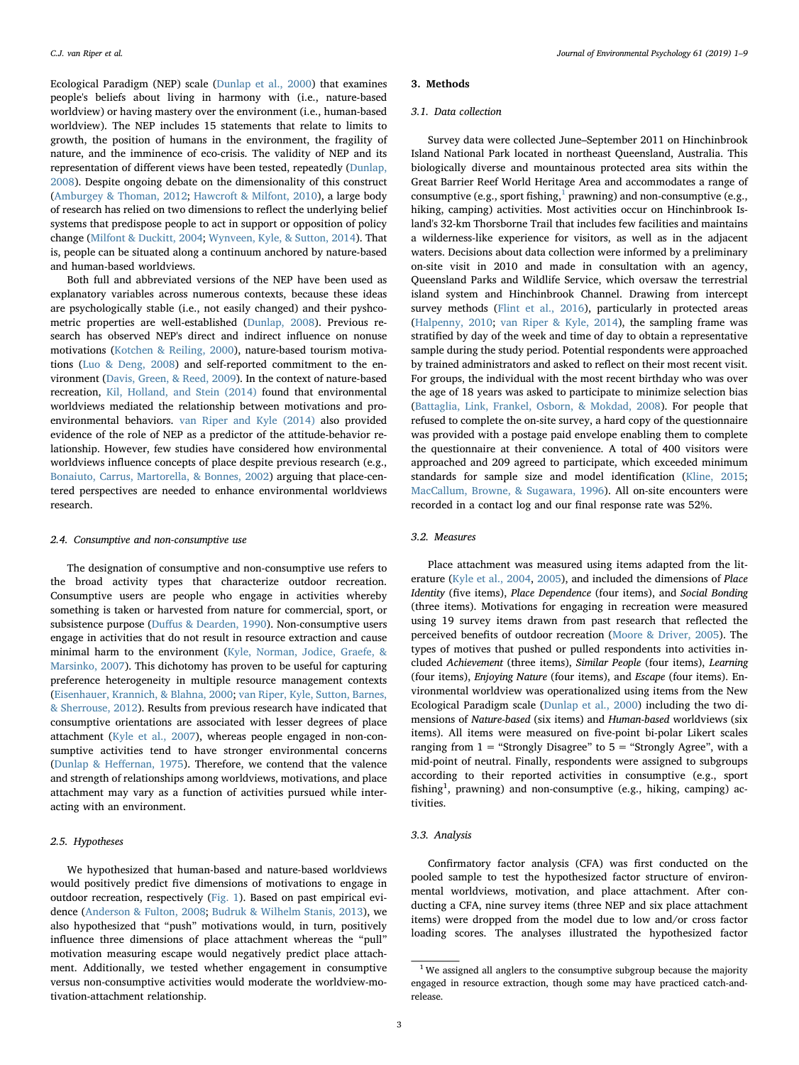Ecological Paradigm (NEP) scale ([Dunlap et al., 2000](#page-7-3)) that examines people's beliefs about living in harmony with (i.e., nature-based worldview) or having mastery over the environment (i.e., human-based worldview). The NEP includes 15 statements that relate to limits to growth, the position of humans in the environment, the fragility of nature, and the imminence of eco-crisis. The validity of NEP and its representation of different views have been tested, repeatedly ([Dunlap,](#page-7-11) [2008\)](#page-7-11). Despite ongoing debate on the dimensionality of this construct ([Amburgey & Thoman, 2012;](#page-7-12) [Hawcroft & Milfont, 2010\)](#page-7-13), a large body of research has relied on two dimensions to reflect the underlying belief systems that predispose people to act in support or opposition of policy change ([Milfont & Duckitt, 2004](#page-8-31); [Wynveen, Kyle, & Sutton, 2014](#page-8-32)). That is, people can be situated along a continuum anchored by nature-based and human-based worldviews.

Both full and abbreviated versions of the NEP have been used as explanatory variables across numerous contexts, because these ideas are psychologically stable (i.e., not easily changed) and their pyshcometric properties are well-established [\(Dunlap, 2008\)](#page-7-11). Previous research has observed NEP's direct and indirect influence on nonuse motivations [\(Kotchen & Reiling, 2000](#page-7-14)), nature-based tourism motivations ([Luo & Deng, 2008\)](#page-8-33) and self-reported commitment to the environment [\(Davis, Green, & Reed, 2009\)](#page-7-15). In the context of nature-based recreation, [Kil, Holland, and Stein \(2014\)](#page-7-16) found that environmental worldviews mediated the relationship between motivations and proenvironmental behaviors. [van Riper and Kyle \(2014\)](#page-8-13) also provided evidence of the role of NEP as a predictor of the attitude-behavior relationship. However, few studies have considered how environmental worldviews influence concepts of place despite previous research (e.g., [Bonaiuto, Carrus, Martorella, & Bonnes, 2002\)](#page-7-17) arguing that place-centered perspectives are needed to enhance environmental worldviews research.

#### 2.4. Consumptive and non-consumptive use

The designation of consumptive and non-consumptive use refers to the broad activity types that characterize outdoor recreation. Consumptive users are people who engage in activities whereby something is taken or harvested from nature for commercial, sport, or subsistence purpose (Duff[us & Dearden, 1990\)](#page-7-18). Non-consumptive users engage in activities that do not result in resource extraction and cause minimal harm to the environment ([Kyle, Norman, Jodice, Graefe, &](#page-8-34) [Marsinko, 2007](#page-8-34)). This dichotomy has proven to be useful for capturing preference heterogeneity in multiple resource management contexts ([Eisenhauer, Krannich, & Blahna, 2000;](#page-7-19) [van Riper, Kyle, Sutton, Barnes,](#page-8-35) [& Sherrouse, 2012\)](#page-8-35). Results from previous research have indicated that consumptive orientations are associated with lesser degrees of place attachment ([Kyle et al., 2007\)](#page-8-34), whereas people engaged in non-consumptive activities tend to have stronger environmental concerns ([Dunlap & He](#page-7-20)ffernan, 1975). Therefore, we contend that the valence and strength of relationships among worldviews, motivations, and place attachment may vary as a function of activities pursued while interacting with an environment.

## 2.5. Hypotheses

We hypothesized that human-based and nature-based worldviews would positively predict five dimensions of motivations to engage in outdoor recreation, respectively ([Fig. 1](#page-3-0)). Based on past empirical evidence ([Anderson & Fulton, 2008](#page-7-8); [Budruk & Wilhelm Stanis, 2013\)](#page-7-21), we also hypothesized that "push" motivations would, in turn, positively influence three dimensions of place attachment whereas the "pull" motivation measuring escape would negatively predict place attachment. Additionally, we tested whether engagement in consumptive versus non-consumptive activities would moderate the worldview-motivation-attachment relationship.

#### 3. Methods

### 3.1. Data collection

Survey data were collected June–September 2011 on Hinchinbrook Island National Park located in northeast Queensland, Australia. This biologically diverse and mountainous protected area sits within the Great Barrier Reef World Heritage Area and accommodates a range of consumptive (e.g., sport fishing, $^1$  $^1$  prawning) and non-consumptive (e.g., hiking, camping) activities. Most activities occur on Hinchinbrook Island's 32-km Thorsborne Trail that includes few facilities and maintains a wilderness-like experience for visitors, as well as in the adjacent waters. Decisions about data collection were informed by a preliminary on-site visit in 2010 and made in consultation with an agency, Queensland Parks and Wildlife Service, which oversaw the terrestrial island system and Hinchinbrook Channel. Drawing from intercept survey methods [\(Flint et al., 2016\)](#page-7-22), particularly in protected areas ([Halpenny, 2010](#page-7-23); [van Riper & Kyle, 2014\)](#page-8-13), the sampling frame was stratified by day of the week and time of day to obtain a representative sample during the study period. Potential respondents were approached by trained administrators and asked to reflect on their most recent visit. For groups, the individual with the most recent birthday who was over the age of 18 years was asked to participate to minimize selection bias ([Battaglia, Link, Frankel, Osborn, & Mokdad, 2008\)](#page-7-24). For people that refused to complete the on-site survey, a hard copy of the questionnaire was provided with a postage paid envelope enabling them to complete the questionnaire at their convenience. A total of 400 visitors were approached and 209 agreed to participate, which exceeded minimum standards for sample size and model identification ([Kline, 2015](#page-7-25); [MacCallum, Browne, & Sugawara, 1996\)](#page-8-36). All on-site encounters were recorded in a contact log and our final response rate was 52%.

## 3.2. Measures

Place attachment was measured using items adapted from the literature [\(Kyle et al., 2004,](#page-8-8) [2005\)](#page-8-9), and included the dimensions of Place Identity (five items), Place Dependence (four items), and Social Bonding (three items). Motivations for engaging in recreation were measured using 19 survey items drawn from past research that reflected the perceived benefits of outdoor recreation ([Moore & Driver, 2005](#page-8-28)). The types of motives that pushed or pulled respondents into activities included Achievement (three items), Similar People (four items), Learning (four items), Enjoying Nature (four items), and Escape (four items). Environmental worldview was operationalized using items from the New Ecological Paradigm scale ([Dunlap et al., 2000\)](#page-7-3) including the two dimensions of Nature-based (six items) and Human-based worldviews (six items). All items were measured on five-point bi-polar Likert scales ranging from  $1$  = "Strongly Disagree" to  $5$  = "Strongly Agree", with a mid-point of neutral. Finally, respondents were assigned to subgroups according to their reported activities in consumptive (e.g., sport fishing<sup>1</sup>, prawning) and non-consumptive (e.g., hiking, camping) activities.

## 3.3. Analysis

Confirmatory factor analysis (CFA) was first conducted on the pooled sample to test the hypothesized factor structure of environmental worldviews, motivation, and place attachment. After conducting a CFA, nine survey items (three NEP and six place attachment items) were dropped from the model due to low and/or cross factor loading scores. The analyses illustrated the hypothesized factor

<span id="page-2-0"></span><sup>&</sup>lt;sup>1</sup> We assigned all anglers to the consumptive subgroup because the majority engaged in resource extraction, though some may have practiced catch-andrelease.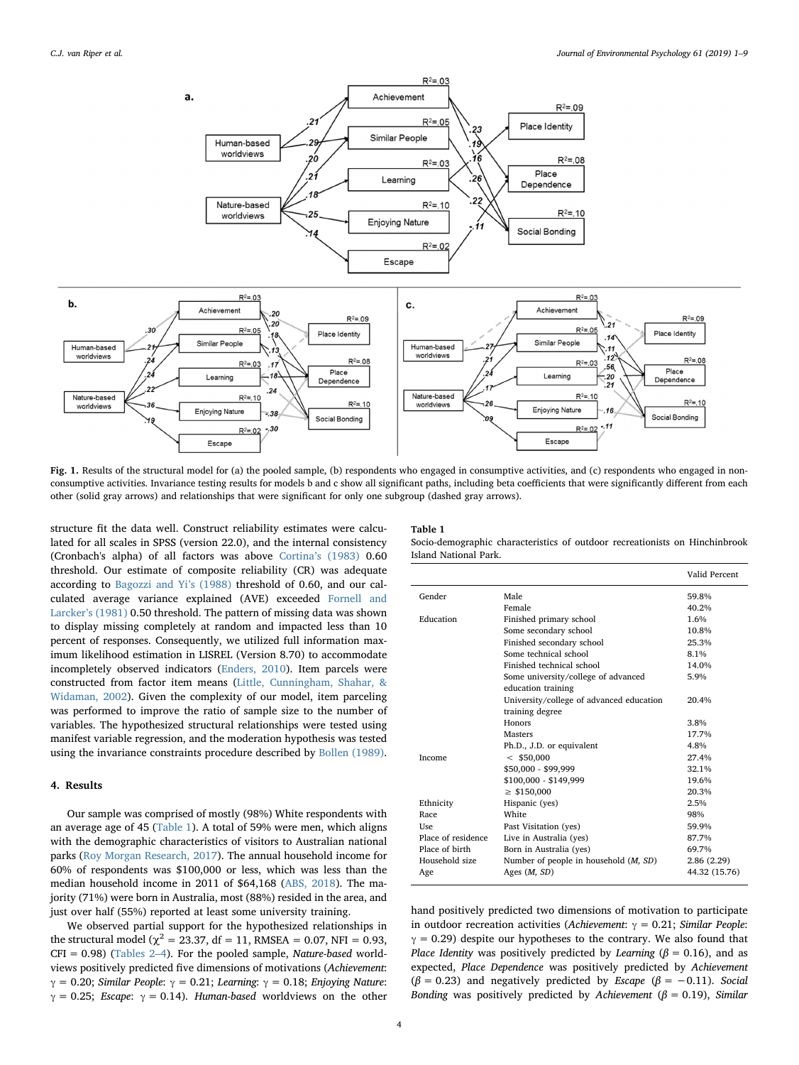<span id="page-3-0"></span>

Fig. 1. Results of the structural model for (a) the pooled sample, (b) respondents who engaged in consumptive activities, and (c) respondents who engaged in nonconsumptive activities. Invariance testing results for models b and c show all significant paths, including beta coefficients that were significantly different from each other (solid gray arrows) and relationships that were significant for only one subgroup (dashed gray arrows).

structure fit the data well. Construct reliability estimates were calculated for all scales in SPSS (version 22.0), and the internal consistency (Cronbach's alpha) of all factors was above Cortina'[s \(1983\)](#page-7-26) 0.60 threshold. Our estimate of composite reliability (CR) was adequate according to [Bagozzi and Yi](#page-7-27)'s (1988) threshold of 0.60, and our calculated average variance explained (AVE) exceeded [Fornell and](#page-7-28) Larcker'[s \(1981\)](#page-7-28) 0.50 threshold. The pattern of missing data was shown to display missing completely at random and impacted less than 10 percent of responses. Consequently, we utilized full information maximum likelihood estimation in LISREL (Version 8.70) to accommodate incompletely observed indicators [\(Enders, 2010](#page-7-29)). Item parcels were constructed from factor item means ([Little, Cunningham, Shahar, &](#page-8-37) [Widaman, 2002\)](#page-8-37). Given the complexity of our model, item parceling was performed to improve the ratio of sample size to the number of variables. The hypothesized structural relationships were tested using manifest variable regression, and the moderation hypothesis was tested using the invariance constraints procedure described by [Bollen \(1989\)](#page-7-30).

# 4. Results

Our sample was comprised of mostly (98%) White respondents with an average age of 45 ([Table 1](#page-3-1)). A total of 59% were men, which aligns with the demographic characteristics of visitors to Australian national parks [\(Roy Morgan Research, 2017](#page-8-38)). The annual household income for 60% of respondents was \$100,000 or less, which was less than the median household income in 2011 of \$64,168 [\(ABS, 2018](#page-7-31)). The majority (71%) were born in Australia, most (88%) resided in the area, and just over half (55%) reported at least some university training.

We observed partial support for the hypothesized relationships in the structural model ( $\chi^2$  = 23.37, df = 11, RMSEA = 0.07, NFI = 0.93,  $CFI = 0.98$ ) [\(Tables 2](#page-4-0)–4). For the pooled sample, *Nature-based* worldviews positively predicted five dimensions of motivations (Achievement:  $γ = 0.20$ ; Similar People:  $γ = 0.21$ ; Learning:  $γ = 0.18$ ; Enjoying Nature:  $\gamma = 0.25$ ; Escape:  $\gamma = 0.14$ ). Human-based worldviews on the other

## <span id="page-3-1"></span>Table 1

Socio-demographic characteristics of outdoor recreationists on Hinchinbrook Island National Park.

|                    |                                          | Valid Percent |
|--------------------|------------------------------------------|---------------|
| Gender             | Male                                     | 59.8%         |
|                    | Female                                   | 40.2%         |
| Education          | Finished primary school                  | 1.6%          |
|                    | Some secondary school                    | 10.8%         |
|                    | Finished secondary school                | 25.3%         |
|                    | Some technical school                    | 8.1%          |
|                    | Finished technical school                | 14.0%         |
|                    | Some university/college of advanced      | 5.9%          |
|                    | education training                       |               |
|                    | University/college of advanced education | 20.4%         |
|                    | training degree                          |               |
|                    | Honors                                   | 3.8%          |
|                    | <b>Masters</b>                           | 17.7%         |
|                    | Ph.D., J.D. or equivalent                | 4.8%          |
| Income             | $<$ \$50,000                             | 27.4%         |
|                    | \$50,000 - \$99,999                      | 32.1%         |
|                    | \$100,000 - \$149,999                    | 19.6%         |
|                    | $\geq$ \$150,000                         | 20.3%         |
| Ethnicity          | Hispanic (yes)                           | 2.5%          |
| Race               | White                                    | 98%           |
| Use.               | Past Visitation (yes)                    | 59.9%         |
| Place of residence | Live in Australia (yes)                  | 87.7%         |
| Place of birth     | Born in Australia (yes)                  | 69.7%         |
| Household size     | Number of people in household (M, SD)    | 2.86 (2.29)   |
| Age                | Ages $(M, SD)$                           | 44.32 (15.76) |

hand positively predicted two dimensions of motivation to participate in outdoor recreation activities (Achievement:  $\gamma = 0.21$ ; Similar People:  $\gamma = 0.29$ ) despite our hypotheses to the contrary. We also found that Place Identity was positively predicted by Learning ( $\beta = 0.16$ ), and as expected, Place Dependence was positively predicted by Achievement ( $\beta$  = 0.23) and negatively predicted by *Escape* ( $\beta$  = -0.11). Social Bonding was positively predicted by Achievement ( $\beta = 0.19$ ), Similar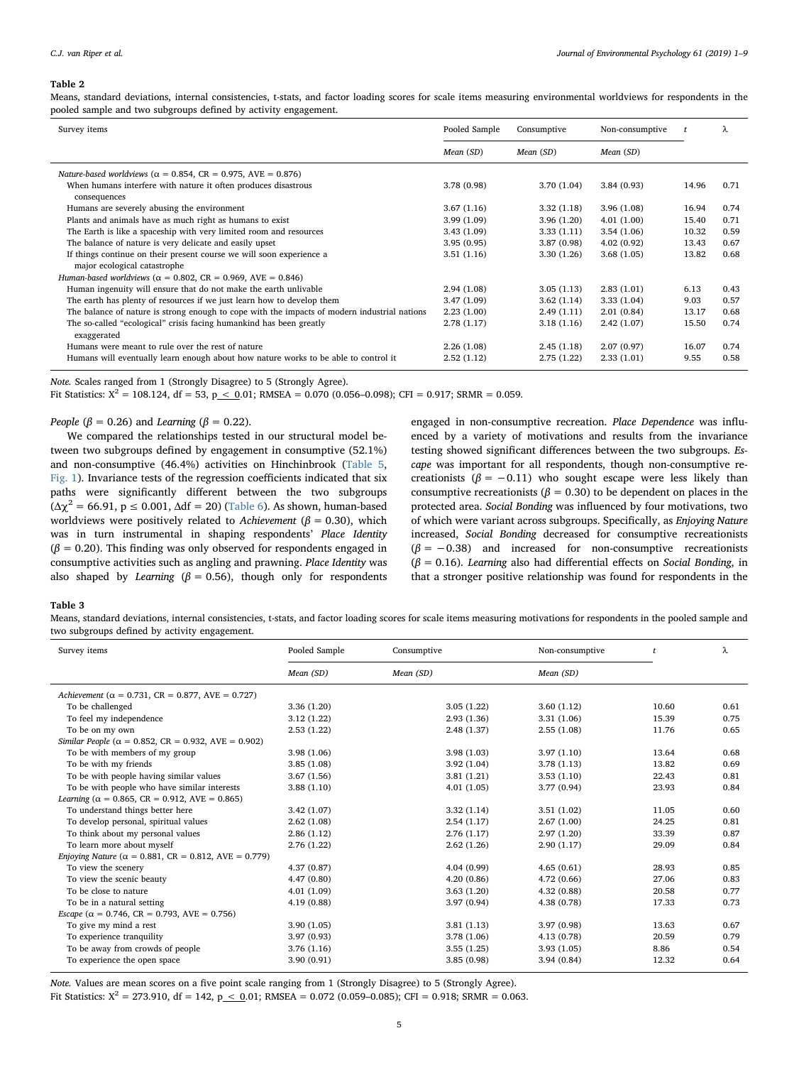#### <span id="page-4-0"></span>Table 2

Means, standard deviations, internal consistencies, t-stats, and factor loading scores for scale items measuring environmental worldviews for respondents in the pooled sample and two subgroups defined by activity engagement.

| Survey items                                                                                 | Pooled Sample | Consumptive | Non-consumptive |       | λ    |
|----------------------------------------------------------------------------------------------|---------------|-------------|-----------------|-------|------|
|                                                                                              | Mean (SD)     | Mean (SD)   | Mean (SD)       |       |      |
| Nature-based worldviews ( $\alpha = 0.854$ , CR = 0.975, AVE = 0.876)                        |               |             |                 |       |      |
| When humans interfere with nature it often produces disastrous                               | 3.78 (0.98)   | 3.70(1.04)  | 3.84(0.93)      | 14.96 | 0.71 |
| consequences                                                                                 |               |             |                 |       |      |
| Humans are severely abusing the environment                                                  | 3.67(1.16)    | 3.32(1.18)  | 3.96(1.08)      | 16.94 | 0.74 |
| Plants and animals have as much right as humans to exist                                     | 3.99(1.09)    | 3.96(1.20)  | 4.01(1.00)      | 15.40 | 0.71 |
| The Earth is like a spaceship with very limited room and resources                           | 3.43(1.09)    | 3.33(1.11)  | 3.54(1.06)      | 10.32 | 0.59 |
| The balance of nature is very delicate and easily upset                                      | 3.95(0.95)    | 3.87(0.98)  | 4.02(0.92)      | 13.43 | 0.67 |
| If things continue on their present course we will soon experience a                         | 3.51(1.16)    | 3.30(1.26)  | 3.68(1.05)      | 13.82 | 0.68 |
| major ecological catastrophe                                                                 |               |             |                 |       |      |
| Human-based worldviews ( $\alpha = 0.802$ , CR = 0.969, AVE = 0.846)                         |               |             |                 |       |      |
| Human ingenuity will ensure that do not make the earth unlivable                             | 2.94(1.08)    | 3.05(1.13)  | 2.83(1.01)      | 6.13  | 0.43 |
| The earth has plenty of resources if we just learn how to develop them                       | 3.47(1.09)    | 3.62(1.14)  | 3.33(1.04)      | 9.03  | 0.57 |
| The balance of nature is strong enough to cope with the impacts of modern industrial nations | 2.23(1.00)    | 2.49(1.11)  | 2.01(0.84)      | 13.17 | 0.68 |
| The so-called "ecological" crisis facing humankind has been greatly                          | 2.78(1.17)    | 3.18(1.16)  | 2.42(1.07)      | 15.50 | 0.74 |
| exaggerated                                                                                  |               |             |                 |       |      |
| Humans were meant to rule over the rest of nature                                            | 2.26(1.08)    | 2.45(1.18)  | 2.07(0.97)      | 16.07 | 0.74 |
| Humans will eventually learn enough about how nature works to be able to control it          | 2.52(1.12)    | 2.75(1.22)  | 2.33(1.01)      | 9.55  | 0.58 |

Note. Scales ranged from 1 (Strongly Disagree) to 5 (Strongly Agree).

Fit Statistics:  $X^2 = 108.124$ , df = 53, p  $\lt$  0.01; RMSEA = 0.070 (0.056–0.098); CFI = 0.917; SRMR = 0.059.

People ( $\beta$  = 0.26) and Learning ( $\beta$  = 0.22).

We compared the relationships tested in our structural model between two subgroups defined by engagement in consumptive (52.1%) and non-consumptive (46.4%) activities on Hinchinbrook [\(Table 5](#page-5-0), [Fig. 1\)](#page-3-0). Invariance tests of the regression coefficients indicated that six paths were significantly different between the two subgroups  $(\Delta \chi^2 = 66.91, p \le 0.001, \Delta df = 20)$  [\(Table 6](#page-5-1)). As shown, human-based worldviews were positively related to Achievement ( $\beta$  = 0.30), which was in turn instrumental in shaping respondents' Place Identity  $(\beta = 0.20)$ . This finding was only observed for respondents engaged in consumptive activities such as angling and prawning. Place Identity was also shaped by Learning ( $\beta$  = 0.56), though only for respondents engaged in non-consumptive recreation. Place Dependence was influenced by a variety of motivations and results from the invariance testing showed significant differences between the two subgroups. Escape was important for all respondents, though non-consumptive recreationists ( $\beta = -0.11$ ) who sought escape were less likely than consumptive recreationists ( $\beta$  = 0.30) to be dependent on places in the protected area. Social Bonding was influenced by four motivations, two of which were variant across subgroups. Specifically, as Enjoying Nature increased, Social Bonding decreased for consumptive recreationists  $(\beta = -0.38)$  and increased for non-consumptive recreationists  $(\beta = 0.16)$ . Learning also had differential effects on Social Bonding, in that a stronger positive relationship was found for respondents in the

#### Table 3

Means, standard deviations, internal consistencies, t-stats, and factor loading scores for scale items measuring motivations for respondents in the pooled sample and two subgroups defined by activity engagement.

| Survey items                                                         | Pooled Sample | Consumptive | Non-consumptive |       | λ    |
|----------------------------------------------------------------------|---------------|-------------|-----------------|-------|------|
|                                                                      | Mean (SD)     | Mean (SD)   | Mean (SD)       |       |      |
| Achievement ( $\alpha = 0.731$ , CR = 0.877, AVE = 0.727)            |               |             |                 |       |      |
| To be challenged                                                     | 3.36(1.20)    | 3.05(1.22)  | 3.60(1.12)      | 10.60 | 0.61 |
| To feel my independence                                              | 3.12(1.22)    | 2.93(1.36)  | 3.31(1.06)      | 15.39 | 0.75 |
| To be on my own                                                      | 2.53(1.22)    | 2.48(1.37)  | 2.55(1.08)      | 11.76 | 0.65 |
| Similar People ( $\alpha = 0.852$ , CR = 0.932, AVE = 0.902)         |               |             |                 |       |      |
| To be with members of my group                                       | 3.98(1.06)    | 3.98(1.03)  | 3.97(1.10)      | 13.64 | 0.68 |
| To be with my friends                                                | 3.85(1.08)    | 3.92(1.04)  | 3.78(1.13)      | 13.82 | 0.69 |
| To be with people having similar values                              | 3.67(1.56)    | 3.81(1.21)  | 3.53(1.10)      | 22.43 | 0.81 |
| To be with people who have similar interests                         | 3.88(1.10)    | 4.01(1.05)  | 3.77(0.94)      | 23.93 | 0.84 |
| Learning ( $\alpha = 0.865$ , CR = 0.912, AVE = 0.865)               |               |             |                 |       |      |
| To understand things better here                                     | 3.42(1.07)    | 3.32(1.14)  | 3.51(1.02)      | 11.05 | 0.60 |
| To develop personal, spiritual values                                | 2.62(1.08)    | 2.54(1.17)  | 2.67(1.00)      | 24.25 | 0.81 |
| To think about my personal values                                    | 2.86(1.12)    | 2.76(1.17)  | 2.97(1.20)      | 33.39 | 0.87 |
| To learn more about myself                                           | 2.76(1.22)    | 2.62(1.26)  | 2.90(1.17)      | 29.09 | 0.84 |
| <i>Enjoying Nature</i> ( $\alpha = 0.881$ , CR = 0.812, AVE = 0.779) |               |             |                 |       |      |
| To view the scenery                                                  | 4.37(0.87)    | 4.04(0.99)  | 4.65(0.61)      | 28.93 | 0.85 |
| To view the scenic beauty                                            | 4.47(0.80)    | 4.20(0.86)  | 4.72(0.66)      | 27.06 | 0.83 |
| To be close to nature                                                | 4.01(1.09)    | 3.63(1.20)  | 4.32(0.88)      | 20.58 | 0.77 |
| To be in a natural setting                                           | 4.19(0.88)    | 3.97(0.94)  | 4.38 (0.78)     | 17.33 | 0.73 |
| <i>Escape</i> ( $\alpha$ = 0.746, CR = 0.793, AVE = 0.756)           |               |             |                 |       |      |
| To give my mind a rest                                               | 3.90(1.05)    | 3.81(1.13)  | 3.97(0.98)      | 13.63 | 0.67 |
| To experience tranquility                                            | 3.97(0.93)    | 3.78(1.06)  | 4.13(0.78)      | 20.59 | 0.79 |
| To be away from crowds of people                                     | 3.76(1.16)    | 3.55(1.25)  | 3.93(1.05)      | 8.86  | 0.54 |
| To experience the open space                                         | 3.90(0.91)    | 3.85(0.98)  | 3.94(0.84)      | 12.32 | 0.64 |

Note. Values are mean scores on a five point scale ranging from 1 (Strongly Disagree) to 5 (Strongly Agree).

Fit Statistics:  $X^2 = 273.910$ , df = 142,  $p \le 0.01$ ; RMSEA = 0.072 (0.059–0.085); CFI = 0.918; SRMR = 0.063.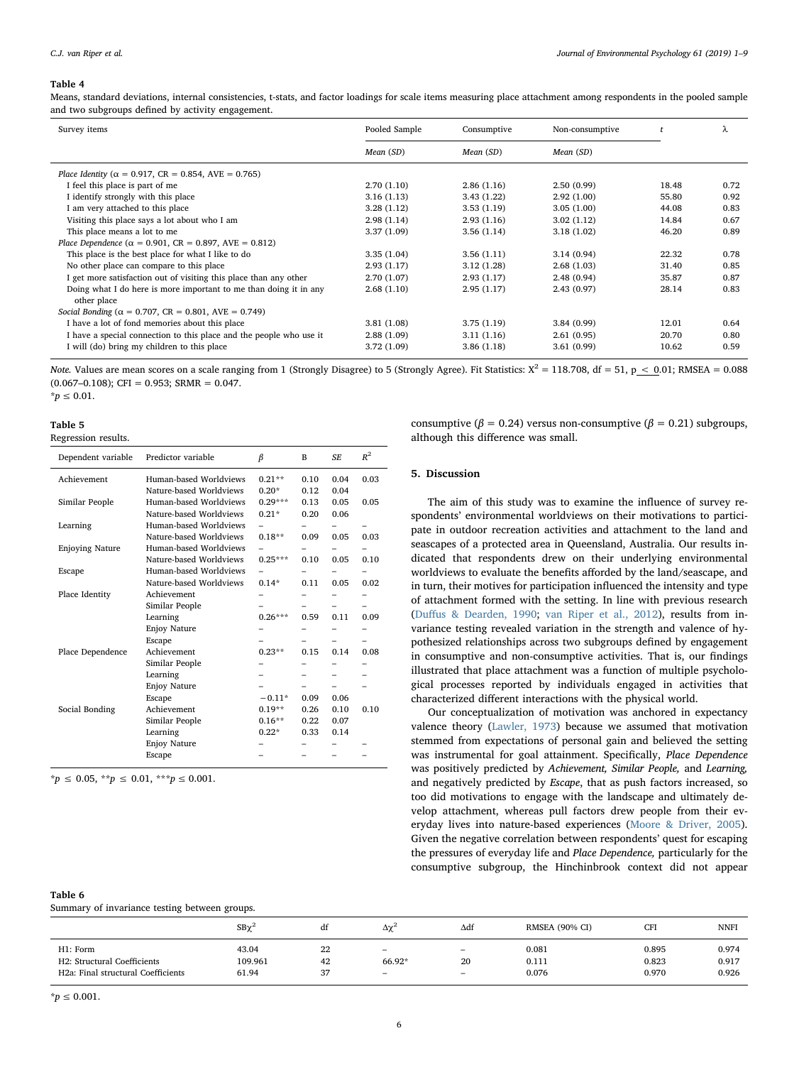#### Table 4

Means, standard deviations, internal consistencies, t-stats, and factor loadings for scale items measuring place attachment among respondents in the pooled sample and two subgroups defined by activity engagement.

| Survey items                                                                     | Pooled Sample | Consumptive | Non-consumptive |       | λ    |
|----------------------------------------------------------------------------------|---------------|-------------|-----------------|-------|------|
|                                                                                  | Mean (SD)     | Mean (SD)   | Mean (SD)       |       |      |
| Place Identity ( $\alpha = 0.917$ , CR = 0.854, AVE = 0.765)                     |               |             |                 |       |      |
| I feel this place is part of me                                                  | 2.70(1.10)    | 2.86(1.16)  | 2.50(0.99)      | 18.48 | 0.72 |
| I identify strongly with this place                                              | 3.16(1.13)    | 3.43(1.22)  | 2.92(1.00)      | 55.80 | 0.92 |
| I am very attached to this place                                                 | 3.28(1.12)    | 3.53(1.19)  | 3.05(1.00)      | 44.08 | 0.83 |
| Visiting this place says a lot about who I am                                    | 2.98(1.14)    | 2.93(1.16)  | 3.02(1.12)      | 14.84 | 0.67 |
| This place means a lot to me                                                     | 3.37(1.09)    | 3.56(1.14)  | 3.18(1.02)      | 46.20 | 0.89 |
| Place Dependence ( $\alpha = 0.901$ , CR = 0.897, AVE = 0.812)                   |               |             |                 |       |      |
| This place is the best place for what I like to do                               | 3.35(1.04)    | 3.56(1.11)  | 3.14(0.94)      | 22.32 | 0.78 |
| No other place can compare to this place                                         | 2.93(1.17)    | 3.12(1.28)  | 2.68(1.03)      | 31.40 | 0.85 |
| I get more satisfaction out of visiting this place than any other                | 2.70(1.07)    | 2.93(1.17)  | 2.48(0.94)      | 35.87 | 0.87 |
| Doing what I do here is more important to me than doing it in any<br>other place | 2.68(1.10)    | 2.95(1.17)  | 2.43(0.97)      | 28.14 | 0.83 |
| Social Bonding ( $\alpha = 0.707$ , CR = 0.801, AVE = 0.749)                     |               |             |                 |       |      |
| I have a lot of fond memories about this place                                   | 3.81(1.08)    | 3.75(1.19)  | 3.84(0.99)      | 12.01 | 0.64 |
| I have a special connection to this place and the people who use it              | 2.88(1.09)    | 3.11(1.16)  | 2.61(0.95)      | 20.70 | 0.80 |
| I will (do) bring my children to this place                                      | 3.72(1.09)    | 3.86(1.18)  | 3.61(0.99)      | 10.62 | 0.59 |

Note. Values are mean scores on a scale ranging from 1 (Strongly Disagree) to 5 (Strongly Agree). Fit Statistics:  $X^2 = 118.708$ , df = 51, p < 0.01; RMSEA = 0.088  $(0.067-0.108)$ ; CFI = 0.953; SRMR = 0.047.

 $<sup>∗</sup>p ≤ 0.01.$ </sup>

### <span id="page-5-0"></span>Table 5

| Regression results. |  |
|---------------------|--|
|---------------------|--|

| Dependent variable     | Predictor variable      | β         | B    | SF.  | $R^2$ |
|------------------------|-------------------------|-----------|------|------|-------|
| Achievement            | Human-based Worldviews  | $0.21**$  | 0.10 | 0.04 | 0.03  |
|                        | Nature-based Worldviews | $0.20*$   | 0.12 | 0.04 |       |
| Similar People         | Human-based Worldviews  | $0.29***$ | 0.13 | 0.05 | 0.05  |
|                        | Nature-based Worldviews | $0.21*$   | 0.20 | 0.06 |       |
| Learning               | Human-based Worldviews  |           |      |      |       |
|                        | Nature-based Worldviews | $0.18**$  | 0.09 | 0.05 | 0.03  |
| <b>Enjoying Nature</b> | Human-based Worldviews  |           |      |      |       |
|                        | Nature-based Worldviews | $0.25***$ | 0.10 | 0.05 | 0.10  |
| Escape                 | Human-based Worldviews  |           |      |      |       |
|                        | Nature-based Worldviews | $0.14*$   | 0.11 | 0.05 | 0.02  |
| Place Identity         | Achievement             |           |      |      |       |
|                        | Similar People          |           |      |      |       |
|                        | Learning                | $0.26***$ | 0.59 | 0.11 | 0.09  |
|                        | <b>Enjoy Nature</b>     |           |      |      |       |
|                        | Escape                  |           |      |      |       |
| Place Dependence       | Achievement             | $0.23**$  | 0.15 | 0.14 | 0.08  |
|                        | Similar People          |           |      |      |       |
|                        | Learning                |           |      |      |       |
|                        | <b>Enjoy Nature</b>     |           |      |      |       |
|                        | Escape                  | $-0.11*$  | 0.09 | 0.06 |       |
| Social Bonding         | Achievement             | $0.19**$  | 0.26 | 0.10 | 0.10  |
|                        | Similar People          | $0.16**$  | 0.22 | 0.07 |       |
|                        | Learning                | $0.22*$   | 0.33 | 0.14 |       |
|                        | <b>Enjoy Nature</b>     |           |      |      |       |
|                        | Escape                  |           |      |      |       |

 $*_{p} \leq 0.05, **_{p} \leq 0.01, **_{p} \leq 0.001.$ 

# <span id="page-5-1"></span>Table 6

Summary of invariance testing between groups.

|                                                 | $SB\chi^2$ | đt | Δχ <sup>2</sup>              | $\Delta df$       | <b>RMSEA (90% CI)</b> | <b>CFI</b> | <b>NNFI</b> |
|-------------------------------------------------|------------|----|------------------------------|-------------------|-----------------------|------------|-------------|
|                                                 |            |    |                              |                   |                       |            |             |
| H1: Form                                        | 43.04      | 22 | $\equiv$                     | $\equiv$          | 0.081                 | 0.895      | 0.974       |
| H2: Structural Coefficients                     | 109.961    | 42 | 66.92*                       | 20                | 0.111                 | 0.823      | 0.917       |
| H <sub>2a</sub> : Final structural Coefficients | 61.94      | 37 | $\qquad \qquad \blacksquare$ | $\qquad \qquad -$ | 0.076                 | 0.970      | 0.926       |
|                                                 |            |    |                              |                   |                       |            |             |

 $* p \leq 0.001.$ 

consumptive ( $\beta$  = 0.24) versus non-consumptive ( $\beta$  = 0.21) subgroups, although this difference was small.

# 5. Discussion

The aim of this study was to examine the influence of survey respondents' environmental worldviews on their motivations to participate in outdoor recreation activities and attachment to the land and seascapes of a protected area in Queensland, Australia. Our results indicated that respondents drew on their underlying environmental worldviews to evaluate the benefits afforded by the land/seascape, and in turn, their motives for participation influenced the intensity and type of attachment formed with the setting. In line with previous research (Duff[us & Dearden, 1990](#page-7-18); [van Riper et al., 2012\)](#page-8-35), results from invariance testing revealed variation in the strength and valence of hypothesized relationships across two subgroups defined by engagement in consumptive and non-consumptive activities. That is, our findings illustrated that place attachment was a function of multiple psychological processes reported by individuals engaged in activities that characterized different interactions with the physical world.

Our conceptualization of motivation was anchored in expectancy valence theory ([Lawler, 1973\)](#page-8-17) because we assumed that motivation stemmed from expectations of personal gain and believed the setting was instrumental for goal attainment. Specifically, Place Dependence was positively predicted by Achievement, Similar People, and Learning, and negatively predicted by Escape, that as push factors increased, so too did motivations to engage with the landscape and ultimately develop attachment, whereas pull factors drew people from their everyday lives into nature-based experiences ([Moore & Driver, 2005](#page-8-28)). Given the negative correlation between respondents' quest for escaping the pressures of everyday life and Place Dependence, particularly for the consumptive subgroup, the Hinchinbrook context did not appear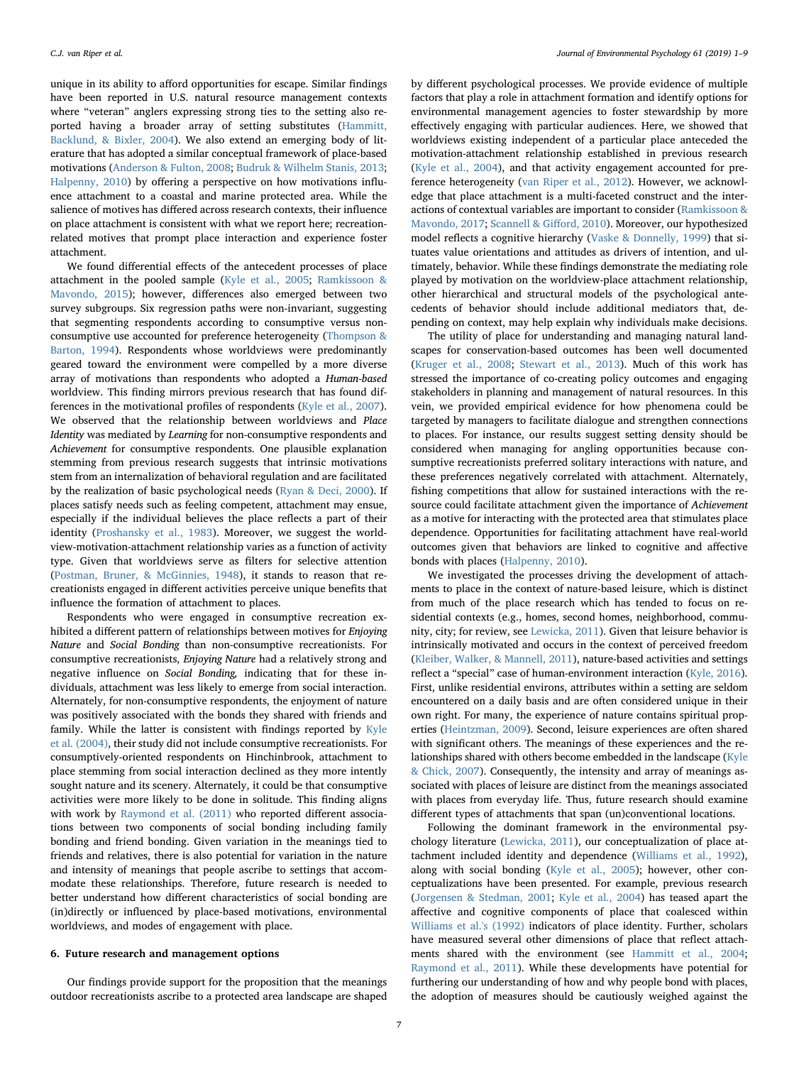unique in its ability to afford opportunities for escape. Similar findings have been reported in U.S. natural resource management contexts where "veteran" anglers expressing strong ties to the setting also reported having a broader array of setting substitutes [\(Hammitt,](#page-7-32) [Backlund, & Bixler, 2004\)](#page-7-32). We also extend an emerging body of literature that has adopted a similar conceptual framework of place-based motivations [\(Anderson & Fulton, 2008](#page-7-8); [Budruk & Wilhelm Stanis, 2013](#page-7-21); [Halpenny, 2010\)](#page-7-23) by offering a perspective on how motivations influence attachment to a coastal and marine protected area. While the salience of motives has differed across research contexts, their influence on place attachment is consistent with what we report here; recreationrelated motives that prompt place interaction and experience foster attachment.

We found differential effects of the antecedent processes of place attachment in the pooled sample [\(Kyle et al., 2005;](#page-8-9) [Ramkissoon &](#page-8-39) [Mavondo, 2015\)](#page-8-39); however, differences also emerged between two survey subgroups. Six regression paths were non-invariant, suggesting that segmenting respondents according to consumptive versus nonconsumptive use accounted for preference heterogeneity ([Thompson &](#page-8-14) [Barton, 1994\)](#page-8-14). Respondents whose worldviews were predominantly geared toward the environment were compelled by a more diverse array of motivations than respondents who adopted a Human-based worldview. This finding mirrors previous research that has found differences in the motivational profiles of respondents [\(Kyle et al., 2007](#page-8-34)). We observed that the relationship between worldviews and Place Identity was mediated by Learning for non-consumptive respondents and Achievement for consumptive respondents. One plausible explanation stemming from previous research suggests that intrinsic motivations stem from an internalization of behavioral regulation and are facilitated by the realization of basic psychological needs ([Ryan & Deci, 2000\)](#page-8-40). If places satisfy needs such as feeling competent, attachment may ensue, especially if the individual believes the place reflects a part of their identity ([Proshansky et al., 1983](#page-8-21)). Moreover, we suggest the worldview-motivation-attachment relationship varies as a function of activity type. Given that worldviews serve as filters for selective attention ([Postman, Bruner, & McGinnies, 1948](#page-8-41)), it stands to reason that recreationists engaged in different activities perceive unique benefits that influence the formation of attachment to places.

Respondents who were engaged in consumptive recreation exhibited a different pattern of relationships between motives for Enjoying Nature and Social Bonding than non-consumptive recreationists. For consumptive recreationists, Enjoying Nature had a relatively strong and negative influence on Social Bonding, indicating that for these individuals, attachment was less likely to emerge from social interaction. Alternately, for non-consumptive respondents, the enjoyment of nature was positively associated with the bonds they shared with friends and family. While the latter is consistent with findings reported by [Kyle](#page-8-8) [et al. \(2004\),](#page-8-8) their study did not include consumptive recreationists. For consumptively-oriented respondents on Hinchinbrook, attachment to place stemming from social interaction declined as they more intently sought nature and its scenery. Alternately, it could be that consumptive activities were more likely to be done in solitude. This finding aligns with work by [Raymond et al. \(2011\)](#page-8-19) who reported different associations between two components of social bonding including family bonding and friend bonding. Given variation in the meanings tied to friends and relatives, there is also potential for variation in the nature and intensity of meanings that people ascribe to settings that accommodate these relationships. Therefore, future research is needed to better understand how different characteristics of social bonding are (in)directly or influenced by place-based motivations, environmental worldviews, and modes of engagement with place.

#### 6. Future research and management options

Our findings provide support for the proposition that the meanings outdoor recreationists ascribe to a protected area landscape are shaped by different psychological processes. We provide evidence of multiple factors that play a role in attachment formation and identify options for environmental management agencies to foster stewardship by more effectively engaging with particular audiences. Here, we showed that worldviews existing independent of a particular place anteceded the motivation-attachment relationship established in previous research ([Kyle et al., 2004](#page-8-8)), and that activity engagement accounted for preference heterogeneity [\(van Riper et al., 2012\)](#page-8-35). However, we acknowledge that place attachment is a multi-faceted construct and the interactions of contextual variables are important to consider [\(Ramkissoon &](#page-8-42) [Mavondo, 2017;](#page-8-42) [Scannell & Gi](#page-8-0)fford, 2010). Moreover, our hypothesized model reflects a cognitive hierarchy ([Vaske & Donnelly, 1999](#page-8-16)) that situates value orientations and attitudes as drivers of intention, and ultimately, behavior. While these findings demonstrate the mediating role played by motivation on the worldview-place attachment relationship, other hierarchical and structural models of the psychological antecedents of behavior should include additional mediators that, depending on context, may help explain why individuals make decisions.

The utility of place for understanding and managing natural landscapes for conservation-based outcomes has been well documented ([Kruger et al., 2008](#page-7-5); [Stewart et al., 2013](#page-8-1)). Much of this work has stressed the importance of co-creating policy outcomes and engaging stakeholders in planning and management of natural resources. In this vein, we provided empirical evidence for how phenomena could be targeted by managers to facilitate dialogue and strengthen connections to places. For instance, our results suggest setting density should be considered when managing for angling opportunities because consumptive recreationists preferred solitary interactions with nature, and these preferences negatively correlated with attachment. Alternately, fishing competitions that allow for sustained interactions with the resource could facilitate attachment given the importance of Achievement as a motive for interacting with the protected area that stimulates place dependence. Opportunities for facilitating attachment have real-world outcomes given that behaviors are linked to cognitive and affective bonds with places [\(Halpenny, 2010\)](#page-7-23).

We investigated the processes driving the development of attachments to place in the context of nature-based leisure, which is distinct from much of the place research which has tended to focus on residential contexts (e.g., homes, second homes, neighborhood, community, city; for review, see [Lewicka, 2011\)](#page-8-10). Given that leisure behavior is intrinsically motivated and occurs in the context of perceived freedom ([Kleiber, Walker, & Mannell, 2011](#page-7-33)), nature-based activities and settings reflect a "special" case of human-environment interaction [\(Kyle, 2016](#page-7-34)). First, unlike residential environs, attributes within a setting are seldom encountered on a daily basis and are often considered unique in their own right. For many, the experience of nature contains spiritual properties [\(Heintzman, 2009\)](#page-7-35). Second, leisure experiences are often shared with significant others. The meanings of these experiences and the relationships shared with others become embedded in the landscape [\(Kyle](#page-8-24) [& Chick, 2007\)](#page-8-24). Consequently, the intensity and array of meanings associated with places of leisure are distinct from the meanings associated with places from everyday life. Thus, future research should examine different types of attachments that span (un)conventional locations.

Following the dominant framework in the environmental psychology literature [\(Lewicka, 2011](#page-8-10)), our conceptualization of place attachment included identity and dependence [\(Williams et al., 1992](#page-8-20)), along with social bonding [\(Kyle et al., 2005\)](#page-8-9); however, other conceptualizations have been presented. For example, previous research ([Jorgensen & Stedman, 2001](#page-7-2); [Kyle et al., 2004\)](#page-8-8) has teased apart the affective and cognitive components of place that coalesced within [Williams et al.'s \(1992\)](#page-8-20) indicators of place identity. Further, scholars have measured several other dimensions of place that reflect attachments shared with the environment (see [Hammitt et al., 2004](#page-7-32); [Raymond et al., 2011\)](#page-8-19). While these developments have potential for furthering our understanding of how and why people bond with places, the adoption of measures should be cautiously weighed against the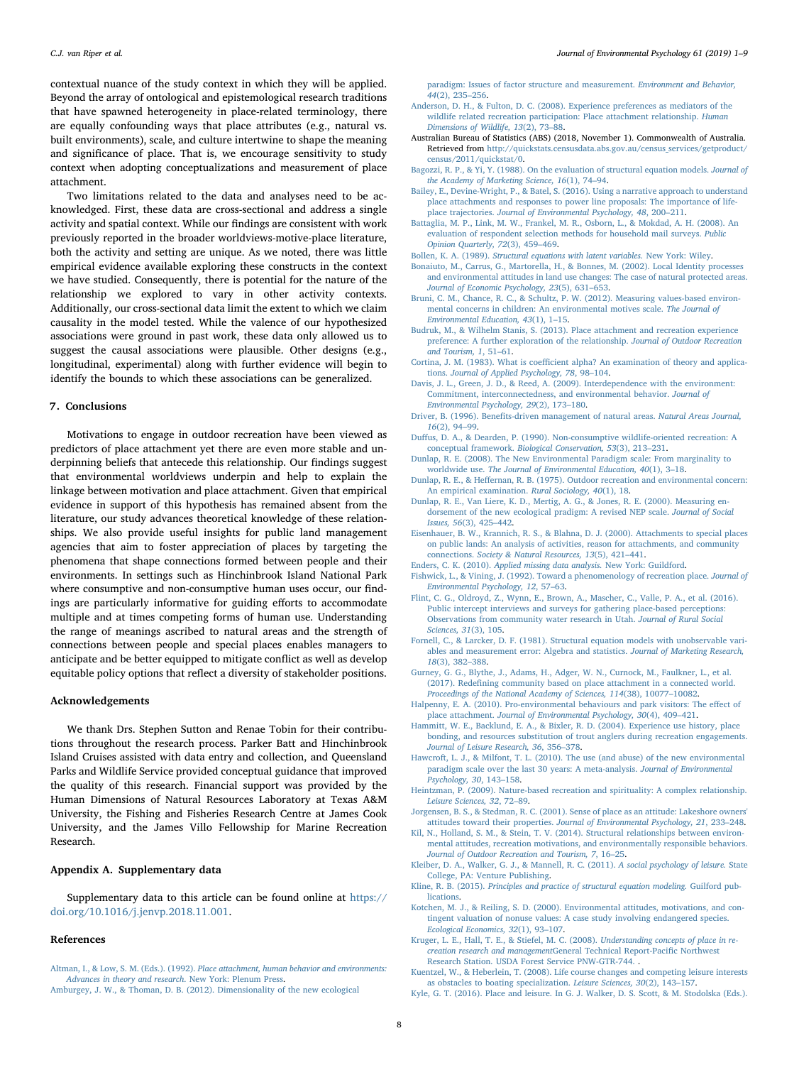contextual nuance of the study context in which they will be applied. Beyond the array of ontological and epistemological research traditions that have spawned heterogeneity in place-related terminology, there are equally confounding ways that place attributes (e.g., natural vs. built environments), scale, and culture intertwine to shape the meaning and significance of place. That is, we encourage sensitivity to study context when adopting conceptualizations and measurement of place attachment.

Two limitations related to the data and analyses need to be acknowledged. First, these data are cross-sectional and address a single activity and spatial context. While our findings are consistent with work previously reported in the broader worldviews-motive-place literature, both the activity and setting are unique. As we noted, there was little empirical evidence available exploring these constructs in the context we have studied. Consequently, there is potential for the nature of the relationship we explored to vary in other activity contexts. Additionally, our cross-sectional data limit the extent to which we claim causality in the model tested. While the valence of our hypothesized associations were ground in past work, these data only allowed us to suggest the causal associations were plausible. Other designs (e.g., longitudinal, experimental) along with further evidence will begin to identify the bounds to which these associations can be generalized.

## 7. Conclusions

Motivations to engage in outdoor recreation have been viewed as predictors of place attachment yet there are even more stable and underpinning beliefs that antecede this relationship. Our findings suggest that environmental worldviews underpin and help to explain the linkage between motivation and place attachment. Given that empirical evidence in support of this hypothesis has remained absent from the literature, our study advances theoretical knowledge of these relationships. We also provide useful insights for public land management agencies that aim to foster appreciation of places by targeting the phenomena that shape connections formed between people and their environments. In settings such as Hinchinbrook Island National Park where consumptive and non-consumptive human uses occur, our findings are particularly informative for guiding efforts to accommodate multiple and at times competing forms of human use. Understanding the range of meanings ascribed to natural areas and the strength of connections between people and special places enables managers to anticipate and be better equipped to mitigate conflict as well as develop equitable policy options that reflect a diversity of stakeholder positions.

## Acknowledgements

We thank Drs. Stephen Sutton and Renae Tobin for their contributions throughout the research process. Parker Batt and Hinchinbrook Island Cruises assisted with data entry and collection, and Queensland Parks and Wildlife Service provided conceptual guidance that improved the quality of this research. Financial support was provided by the Human Dimensions of Natural Resources Laboratory at Texas A&M University, the Fishing and Fisheries Research Centre at James Cook University, and the James Villo Fellowship for Marine Recreation Research.

# Appendix A. Supplementary data

Supplementary data to this article can be found online at [https://](https://doi.org/10.1016/j.jenvp.2018.11.001) [doi.org/10.1016/j.jenvp.2018.11.001.](https://doi.org/10.1016/j.jenvp.2018.11.001)

#### References

<span id="page-7-12"></span><span id="page-7-0"></span>Altman, I., & Low, S. M. (Eds.). (1992). [Place attachment, human behavior and environments:](http://refhub.elsevier.com/S0272-4944(18)30298-6/sref1) [Advances in theory and research](http://refhub.elsevier.com/S0272-4944(18)30298-6/sref1). New York: Plenum Press. [Amburgey, J. W., & Thoman, D. B. \(2012\). Dimensionality of the new ecological](http://refhub.elsevier.com/S0272-4944(18)30298-6/sref2)

[paradigm: Issues of factor structure and measurement.](http://refhub.elsevier.com/S0272-4944(18)30298-6/sref2) Environment and Behavior, 44[\(2\), 235](http://refhub.elsevier.com/S0272-4944(18)30298-6/sref2)–256.

- <span id="page-7-8"></span>[Anderson, D. H., & Fulton, D. C. \(2008\). Experience preferences as mediators of the](http://refhub.elsevier.com/S0272-4944(18)30298-6/sref3) [wildlife related recreation participation: Place attachment relationship.](http://refhub.elsevier.com/S0272-4944(18)30298-6/sref3) Human [Dimensions of Wildlife, 13](http://refhub.elsevier.com/S0272-4944(18)30298-6/sref3)(2), 73–88.
- <span id="page-7-31"></span>Australian Bureau of Statistics (ABS) (2018, November 1). Commonwealth of Australia. Retrieved from [http://quickstats.censusdata.abs.gov.au/census\\_services/getproduct/](http://quickstats.censusdata.abs.gov.au/census_services/getproduct/census/2011/quickstat/0) [census/2011/quickstat/0.](http://quickstats.censusdata.abs.gov.au/census_services/getproduct/census/2011/quickstat/0)
- <span id="page-7-27"></span>[Bagozzi, R. P., & Yi, Y. \(1988\). On the evaluation of structural equation models.](http://refhub.elsevier.com/S0272-4944(18)30298-6/sref5) Journal of [the Academy of Marketing Science, 16](http://refhub.elsevier.com/S0272-4944(18)30298-6/sref5)(1), 74–94.
- <span id="page-7-1"></span>[Bailey, E., Devine-Wright, P., & Batel, S. \(2016\). Using a narrative approach to understand](http://refhub.elsevier.com/S0272-4944(18)30298-6/sref6) [place attachments and responses to power line proposals: The importance of life](http://refhub.elsevier.com/S0272-4944(18)30298-6/sref6)place trajectories. [Journal of Environmental Psychology, 48](http://refhub.elsevier.com/S0272-4944(18)30298-6/sref6), 200–211.
- <span id="page-7-24"></span>[Battaglia, M. P., Link, M. W., Frankel, M. R., Osborn, L., & Mokdad, A. H. \(2008\). An](http://refhub.elsevier.com/S0272-4944(18)30298-6/sref7) [evaluation of respondent selection methods for household mail surveys.](http://refhub.elsevier.com/S0272-4944(18)30298-6/sref7) Public [Opinion Quarterly, 72](http://refhub.elsevier.com/S0272-4944(18)30298-6/sref7)(3), 459–469.
- <span id="page-7-30"></span>Bollen, K. A. (1989). [Structural equations with latent variables.](http://refhub.elsevier.com/S0272-4944(18)30298-6/sref8) New York: Wiley.
- <span id="page-7-17"></span>[Bonaiuto, M., Carrus, G., Martorella, H., & Bonnes, M. \(2002\). Local Identity processes](http://refhub.elsevier.com/S0272-4944(18)30298-6/sref9) [and environmental attitudes in land use changes: The case of natural protected areas.](http://refhub.elsevier.com/S0272-4944(18)30298-6/sref9) [Journal of Economic Psychology, 23](http://refhub.elsevier.com/S0272-4944(18)30298-6/sref9)(5), 631–653.
- <span id="page-7-10"></span>[Bruni, C. M., Chance, R. C., & Schultz, P. W. \(2012\). Measuring values-based environ](http://refhub.elsevier.com/S0272-4944(18)30298-6/sref10)[mental concerns in children: An environmental motives scale.](http://refhub.elsevier.com/S0272-4944(18)30298-6/sref10) The Journal of [Environmental Education, 43](http://refhub.elsevier.com/S0272-4944(18)30298-6/sref10)(1), 1–15.
- <span id="page-7-21"></span>[Budruk, M., & Wilhelm Stanis, S. \(2013\). Place attachment and recreation experience](http://refhub.elsevier.com/S0272-4944(18)30298-6/sref11) [preference: A further exploration of the relationship.](http://refhub.elsevier.com/S0272-4944(18)30298-6/sref11) Journal of Outdoor Recreation [and Tourism, 1](http://refhub.elsevier.com/S0272-4944(18)30298-6/sref11), 51–61.
- <span id="page-7-26"></span>Cortina, J. M. (1983). What is coeffi[cient alpha? An examination of theory and applica](http://refhub.elsevier.com/S0272-4944(18)30298-6/sref12)tions. [Journal of Applied Psychology, 78](http://refhub.elsevier.com/S0272-4944(18)30298-6/sref12), 98–104.
- <span id="page-7-15"></span>[Davis, J. L., Green, J. D., & Reed, A. \(2009\). Interdependence with the environment:](http://refhub.elsevier.com/S0272-4944(18)30298-6/sref13) [Commitment, interconnectedness, and environmental behavior.](http://refhub.elsevier.com/S0272-4944(18)30298-6/sref13) Journal of [Environmental Psychology, 29](http://refhub.elsevier.com/S0272-4944(18)30298-6/sref13)(2), 173–180.
- <span id="page-7-4"></span>Driver, B. (1996). Benefi[ts-driven management of natural areas.](http://refhub.elsevier.com/S0272-4944(18)30298-6/sref14) Natural Areas Journal, 16[\(2\), 94](http://refhub.elsevier.com/S0272-4944(18)30298-6/sref14)–99.
- <span id="page-7-18"></span>Duffus, [D. A., & Dearden, P. \(1990\). Non-consumptive wildlife-oriented recreation: A](http://refhub.elsevier.com/S0272-4944(18)30298-6/sref15) conceptual framework. [Biological Conservation, 53](http://refhub.elsevier.com/S0272-4944(18)30298-6/sref15)(3), 213–231.
- <span id="page-7-11"></span>[Dunlap, R. E. \(2008\). The New Environmental Paradigm scale: From marginality to](http://refhub.elsevier.com/S0272-4944(18)30298-6/sref16) worldwide use. [The Journal of Environmental Education, 40](http://refhub.elsevier.com/S0272-4944(18)30298-6/sref16)(1), 3–18.
- <span id="page-7-20"></span>Dunlap, R. E., & Heff[ernan, R. B. \(1975\). Outdoor recreation and environmental concern:](http://refhub.elsevier.com/S0272-4944(18)30298-6/sref17) [An empirical examination.](http://refhub.elsevier.com/S0272-4944(18)30298-6/sref17) Rural Sociology, 40(1), 18.
- <span id="page-7-3"></span>[Dunlap, R. E., Van Liere, K. D., Mertig, A. G., & Jones, R. E. \(2000\). Measuring en](http://refhub.elsevier.com/S0272-4944(18)30298-6/sref18)[dorsement of the new ecological pradigm: A revised NEP scale.](http://refhub.elsevier.com/S0272-4944(18)30298-6/sref18) Journal of Social [Issues, 56](http://refhub.elsevier.com/S0272-4944(18)30298-6/sref18)(3), 425–442.
- <span id="page-7-19"></span>[Eisenhauer, B. W., Krannich, R. S., & Blahna, D. J. \(2000\). Attachments to special places](http://refhub.elsevier.com/S0272-4944(18)30298-6/sref19) [on public lands: An analysis of activities, reason for attachments, and community](http://refhub.elsevier.com/S0272-4944(18)30298-6/sref19) connections. [Society & Natural Resources, 13](http://refhub.elsevier.com/S0272-4944(18)30298-6/sref19)(5), 421–441.
- <span id="page-7-29"></span>Enders, C. K. (2010). [Applied missing data analysis.](http://refhub.elsevier.com/S0272-4944(18)30298-6/sref20) New York: Guildford.
- <span id="page-7-7"></span>[Fishwick, L., & Vining, J. \(1992\). Toward a phenomenology of recreation place.](http://refhub.elsevier.com/S0272-4944(18)30298-6/sref21) Journal of [Environmental Psychology, 12](http://refhub.elsevier.com/S0272-4944(18)30298-6/sref21), 57–63.
- <span id="page-7-22"></span>[Flint, C. G., Oldroyd, Z., Wynn, E., Brown, A., Mascher, C., Valle, P. A., et al. \(2016\).](http://refhub.elsevier.com/S0272-4944(18)30298-6/sref22) [Public intercept interviews and surveys for gathering place-based perceptions:](http://refhub.elsevier.com/S0272-4944(18)30298-6/sref22) [Observations from community water research in Utah.](http://refhub.elsevier.com/S0272-4944(18)30298-6/sref22) Journal of Rural Social [Sciences, 31](http://refhub.elsevier.com/S0272-4944(18)30298-6/sref22)(3), 105.
- <span id="page-7-28"></span>[Fornell, C., & Larcker, D. F. \(1981\). Structural equation models with unobservable vari](http://refhub.elsevier.com/S0272-4944(18)30298-6/sref23)[ables and measurement error: Algebra and statistics.](http://refhub.elsevier.com/S0272-4944(18)30298-6/sref23) Journal of Marketing Research, 18[\(3\), 382](http://refhub.elsevier.com/S0272-4944(18)30298-6/sref23)–388.
- <span id="page-7-6"></span>[Gurney, G. G., Blythe, J., Adams, H., Adger, W. N., Curnock, M., Faulkner, L., et al.](http://refhub.elsevier.com/S0272-4944(18)30298-6/sref24) (2017). Redefi[ning community based on place attachment in a connected world.](http://refhub.elsevier.com/S0272-4944(18)30298-6/sref24) [Proceedings of the National Academy of Sciences, 114](http://refhub.elsevier.com/S0272-4944(18)30298-6/sref24)(38), 10077–10082.
- <span id="page-7-23"></span>[Halpenny, E. A. \(2010\). Pro-environmental behaviours and park visitors: The e](http://refhub.elsevier.com/S0272-4944(18)30298-6/sref25)ffect of place attachment. [Journal of Environmental Psychology, 30](http://refhub.elsevier.com/S0272-4944(18)30298-6/sref25)(4), 409–421.
- <span id="page-7-32"></span>[Hammitt, W. E., Backlund, E. A., & Bixler, R. D. \(2004\). Experience use history, place](http://refhub.elsevier.com/S0272-4944(18)30298-6/sref26) [bonding, and resources substitution of trout anglers during recreation engagements.](http://refhub.elsevier.com/S0272-4944(18)30298-6/sref26) [Journal of Leisure Research, 36](http://refhub.elsevier.com/S0272-4944(18)30298-6/sref26), 356–378.
- <span id="page-7-13"></span>[Hawcroft, L. J., & Milfont, T. L. \(2010\). The use \(and abuse\) of the new environmental](http://refhub.elsevier.com/S0272-4944(18)30298-6/sref27) [paradigm scale over the last 30 years: A meta-analysis.](http://refhub.elsevier.com/S0272-4944(18)30298-6/sref27) Journal of Environmental [Psychology, 30](http://refhub.elsevier.com/S0272-4944(18)30298-6/sref27), 143–158.
- <span id="page-7-35"></span>[Heintzman, P. \(2009\). Nature-based recreation and spirituality: A complex relationship.](http://refhub.elsevier.com/S0272-4944(18)30298-6/sref28) [Leisure Sciences, 32](http://refhub.elsevier.com/S0272-4944(18)30298-6/sref28), 72–89.
- <span id="page-7-2"></span>Jorgensen, [B. S., & Stedman, R. C. \(2001\). Sense of place as an attitude: Lakeshore owners'](http://refhub.elsevier.com/S0272-4944(18)30298-6/sref29) attitudes toward their properties. [Journal of Environmental Psychology, 21](http://refhub.elsevier.com/S0272-4944(18)30298-6/sref29), 233–248.
- <span id="page-7-16"></span>[Kil, N., Holland, S. M., & Stein, T. V. \(2014\). Structural relationships between environ](http://refhub.elsevier.com/S0272-4944(18)30298-6/sref30)[mental attitudes, recreation motivations, and environmentally responsible behaviors.](http://refhub.elsevier.com/S0272-4944(18)30298-6/sref30) [Journal of Outdoor Recreation and Tourism, 7](http://refhub.elsevier.com/S0272-4944(18)30298-6/sref30), 16–25.
- <span id="page-7-33"></span>[Kleiber, D. A., Walker, G. J., & Mannell, R. C. \(2011\).](http://refhub.elsevier.com/S0272-4944(18)30298-6/sref31) A social psychology of leisure. State [College, PA: Venture Publishing](http://refhub.elsevier.com/S0272-4944(18)30298-6/sref31).
- <span id="page-7-25"></span>Kline, R. B. (2015). [Principles and practice of structural equation modeling.](http://refhub.elsevier.com/S0272-4944(18)30298-6/sref32) Guilford pub[lications](http://refhub.elsevier.com/S0272-4944(18)30298-6/sref32).
- <span id="page-7-14"></span>[Kotchen, M. J., & Reiling, S. D. \(2000\). Environmental attitudes, motivations, and con](http://refhub.elsevier.com/S0272-4944(18)30298-6/sref33)[tingent valuation of nonuse values: A case study involving endangered species.](http://refhub.elsevier.com/S0272-4944(18)30298-6/sref33) [Ecological Economics, 32](http://refhub.elsevier.com/S0272-4944(18)30298-6/sref33)(1), 93–107.
- <span id="page-7-5"></span>[Kruger, L. E., Hall, T. E., & Stiefel, M. C. \(2008\).](http://refhub.elsevier.com/S0272-4944(18)30298-6/sref34) Understanding concepts of place in re[creation research and management](http://refhub.elsevier.com/S0272-4944(18)30298-6/sref34)General Technical Report-Pacific Northwest [Research Station. USDA Forest Service PNW-GTR-744.](http://refhub.elsevier.com/S0272-4944(18)30298-6/sref34) .
- <span id="page-7-9"></span>[Kuentzel, W., & Heberlein, T. \(2008\). Life course changes and competing leisure interests](http://refhub.elsevier.com/S0272-4944(18)30298-6/sref35) [as obstacles to boating specialization.](http://refhub.elsevier.com/S0272-4944(18)30298-6/sref35) Leisure Sciences, 30(2), 143–157.
- <span id="page-7-34"></span>[Kyle, G. T. \(2016\). Place and leisure. In G. J. Walker, D. S. Scott, & M. Stodolska \(Eds.\).](http://refhub.elsevier.com/S0272-4944(18)30298-6/sref36)